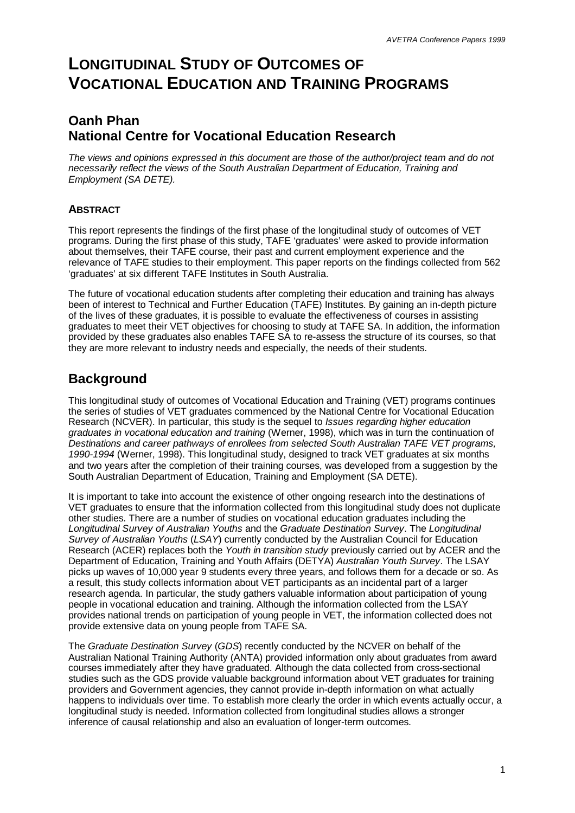# **LONGITUDINAL STUDY OF OUTCOMES OF VOCATIONAL EDUCATION AND TRAINING PROGRAMS**

## **Oanh Phan National Centre for Vocational Education Research**

*The views and opinions expressed in this document are those of the author/project team and do not necessarily reflect the views of the South Australian Department of Education, Training and Employment (SA DETE).*

### **ABSTRACT**

This report represents the findings of the first phase of the longitudinal study of outcomes of VET programs. During the first phase of this study, TAFE 'graduates' were asked to provide information about themselves, their TAFE course, their past and current employment experience and the relevance of TAFE studies to their employment. This paper reports on the findings collected from 562 'graduates' at six different TAFE Institutes in South Australia.

The future of vocational education students after completing their education and training has always been of interest to Technical and Further Education (TAFE) Institutes. By gaining an in-depth picture of the lives of these graduates, it is possible to evaluate the effectiveness of courses in assisting graduates to meet their VET objectives for choosing to study at TAFE SA. In addition, the information provided by these graduates also enables TAFE SA to re-assess the structure of its courses, so that they are more relevant to industry needs and especially, the needs of their students.

### **Background**

This longitudinal study of outcomes of Vocational Education and Training (VET) programs continues the series of studies of VET graduates commenced by the National Centre for Vocational Education Research (NCVER). In particular, this study is the sequel to *Issues regarding higher education graduates in vocational education and training* (Werner, 1998), which was in turn the continuation of *Destinations and career pathways of enrollees from selected South Australian TAFE VET programs, 1990-1994* (Werner, 1998). This longitudinal study, designed to track VET graduates at six months and two years after the completion of their training courses, was developed from a suggestion by the South Australian Department of Education, Training and Employment (SA DETE).

It is important to take into account the existence of other ongoing research into the destinations of VET graduates to ensure that the information collected from this longitudinal study does not duplicate other studies. There are a number of studies on vocational education graduates including the *Longitudinal Survey of Australian Youths* and the *Graduate Destination Survey*. The *Longitudinal Survey of Australian Youths* (*LSAY*) currently conducted by the Australian Council for Education Research (ACER) replaces both the *Youth in transition study* previously carried out by ACER and the Department of Education, Training and Youth Affairs (DETYA) *Australian Youth Survey*. The LSAY picks up waves of 10,000 year 9 students every three years, and follows them for a decade or so. As a result, this study collects information about VET participants as an incidental part of a larger research agenda. In particular, the study gathers valuable information about participation of young people in vocational education and training. Although the information collected from the LSAY provides national trends on participation of young people in VET, the information collected does not provide extensive data on young people from TAFE SA.

The *Graduate Destination Survey* (*GDS*) recently conducted by the NCVER on behalf of the Australian National Training Authority (ANTA) provided information only about graduates from award courses immediately after they have graduated. Although the data collected from cross-sectional studies such as the GDS provide valuable background information about VET graduates for training providers and Government agencies, they cannot provide in-depth information on what actually happens to individuals over time. To establish more clearly the order in which events actually occur, a longitudinal study is needed. Information collected from longitudinal studies allows a stronger inference of causal relationship and also an evaluation of longer-term outcomes.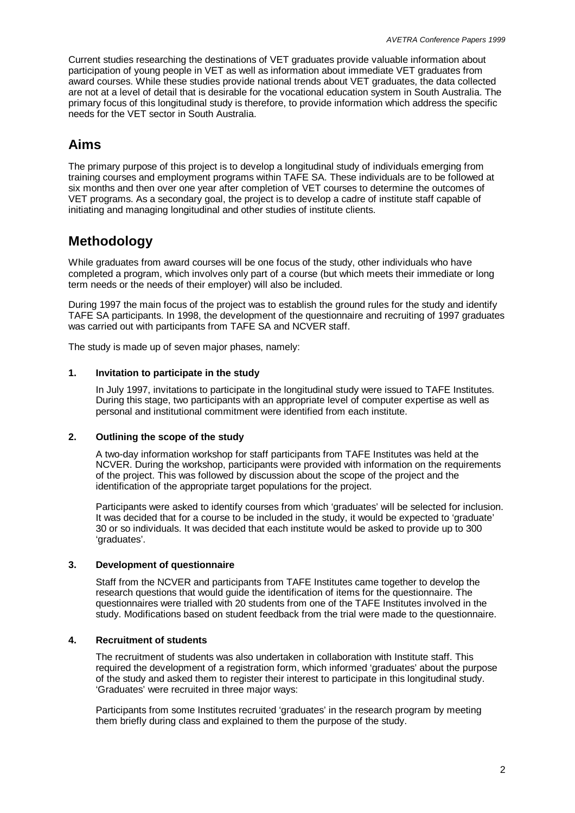Current studies researching the destinations of VET graduates provide valuable information about participation of young people in VET as well as information about immediate VET graduates from award courses. While these studies provide national trends about VET graduates, the data collected are not at a level of detail that is desirable for the vocational education system in South Australia. The primary focus of this longitudinal study is therefore, to provide information which address the specific needs for the VET sector in South Australia.

# **Aims**

The primary purpose of this project is to develop a longitudinal study of individuals emerging from training courses and employment programs within TAFE SA. These individuals are to be followed at six months and then over one year after completion of VET courses to determine the outcomes of VET programs. As a secondary goal, the project is to develop a cadre of institute staff capable of initiating and managing longitudinal and other studies of institute clients.

# **Methodology**

While graduates from award courses will be one focus of the study, other individuals who have completed a program, which involves only part of a course (but which meets their immediate or long term needs or the needs of their employer) will also be included.

During 1997 the main focus of the project was to establish the ground rules for the study and identify TAFE SA participants. In 1998, the development of the questionnaire and recruiting of 1997 graduates was carried out with participants from TAFE SA and NCVER staff.

The study is made up of seven major phases, namely:

#### **1. Invitation to participate in the study**

In July 1997, invitations to participate in the longitudinal study were issued to TAFE Institutes. During this stage, two participants with an appropriate level of computer expertise as well as personal and institutional commitment were identified from each institute.

#### **2. Outlining the scope of the study**

A two-day information workshop for staff participants from TAFE Institutes was held at the NCVER. During the workshop, participants were provided with information on the requirements of the project. This was followed by discussion about the scope of the project and the identification of the appropriate target populations for the project.

Participants were asked to identify courses from which 'graduates' will be selected for inclusion. It was decided that for a course to be included in the study, it would be expected to 'graduate' 30 or so individuals. It was decided that each institute would be asked to provide up to 300 'graduates'.

#### **3. Development of questionnaire**

Staff from the NCVER and participants from TAFE Institutes came together to develop the research questions that would guide the identification of items for the questionnaire. The questionnaires were trialled with 20 students from one of the TAFE Institutes involved in the study. Modifications based on student feedback from the trial were made to the questionnaire.

#### **4. Recruitment of students**

The recruitment of students was also undertaken in collaboration with Institute staff. This required the development of a registration form, which informed 'graduates' about the purpose of the study and asked them to register their interest to participate in this longitudinal study. 'Graduates' were recruited in three major ways:

Participants from some Institutes recruited 'graduates' in the research program by meeting them briefly during class and explained to them the purpose of the study.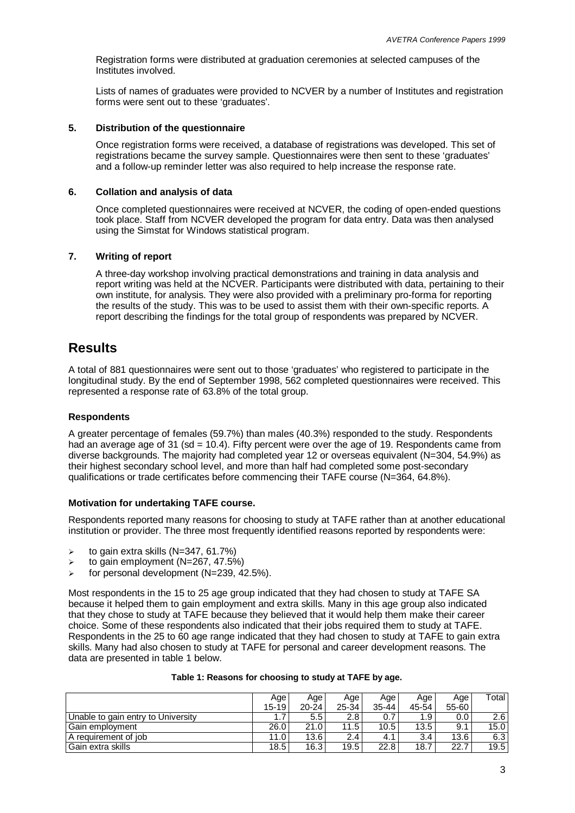Registration forms were distributed at graduation ceremonies at selected campuses of the Institutes involved.

Lists of names of graduates were provided to NCVER by a number of Institutes and registration forms were sent out to these 'graduates'.

#### **5. Distribution of the questionnaire**

Once registration forms were received, a database of registrations was developed. This set of registrations became the survey sample. Questionnaires were then sent to these 'graduates' and a follow-up reminder letter was also required to help increase the response rate.

#### **6. Collation and analysis of data**

Once completed questionnaires were received at NCVER, the coding of open-ended questions took place. Staff from NCVER developed the program for data entry. Data was then analysed using the Simstat for Windows statistical program.

#### **7. Writing of report**

A three-day workshop involving practical demonstrations and training in data analysis and report writing was held at the NCVER. Participants were distributed with data, pertaining to their own institute, for analysis. They were also provided with a preliminary pro-forma for reporting the results of the study. This was to be used to assist them with their own-specific reports. A report describing the findings for the total group of respondents was prepared by NCVER.

### **Results**

A total of 881 questionnaires were sent out to those 'graduates' who registered to participate in the longitudinal study. By the end of September 1998, 562 completed questionnaires were received. This represented a response rate of 63.8% of the total group.

#### **Respondents**

A greater percentage of females (59.7%) than males (40.3%) responded to the study. Respondents had an average age of 31 (sd = 10.4). Fifty percent were over the age of 19. Respondents came from diverse backgrounds. The majority had completed year 12 or overseas equivalent (N=304, 54.9%) as their highest secondary school level, and more than half had completed some post-secondary qualifications or trade certificates before commencing their TAFE course (N=364, 64.8%).

#### **Motivation for undertaking TAFE course.**

Respondents reported many reasons for choosing to study at TAFE rather than at another educational institution or provider. The three most frequently identified reasons reported by respondents were:

- $\ge$  to gain extra skills (N=347, 61.7%)
- $\ge$  to gain employment (N=267, 47.5%)
- $\ge$  for personal development (N=239, 42.5%).

Most respondents in the 15 to 25 age group indicated that they had chosen to study at TAFE SA because it helped them to gain employment and extra skills. Many in this age group also indicated that they chose to study at TAFE because they believed that it would help them make their career choice. Some of these respondents also indicated that their jobs required them to study at TAFE. Respondents in the 25 to 60 age range indicated that they had chosen to study at TAFE to gain extra skills. Many had also chosen to study at TAFE for personal and career development reasons. The data are presented in table 1 below.

|                                    | Age       | Age           | Age   | Age       | Aqe              | Age   | Total I |
|------------------------------------|-----------|---------------|-------|-----------|------------------|-------|---------|
|                                    | $15 - 19$ | $20 - 24$     | 25-34 | $35 - 44$ | 45-54            | 55-60 |         |
| Unable to gain entry to University |           | $5.5^{\circ}$ | 2.8   | 0.7       | 1.9 <sup>°</sup> | 0.0   | 2.6     |
| Gain employment                    | 26.0      | 21.0          | 11.5  | 10.5      | 13.5             | 9.1   | 15.0    |
| A requirement of iob               | 11.0      | 13.6          | 2.4   | 4.1       | 3.4              | 13.6  | 6.3     |
| Gain extra skills                  | 18.5      | 16.3          | 19.5  | 22.8      | 18.7             | 22.7  | 19.5    |

#### **Table 1: Reasons for choosing to study at TAFE by age.**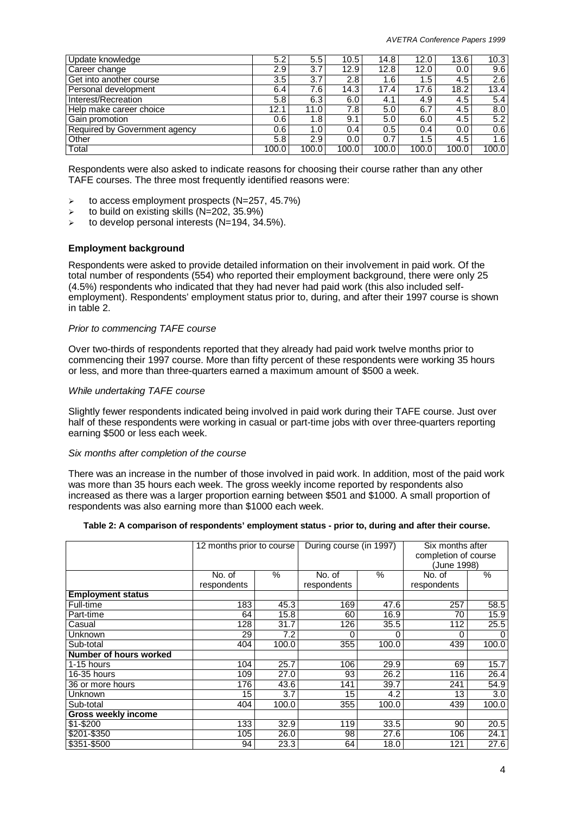| Update knowledge              | 5.2   | 5.5              | 10.5  | 14.8  | 12.0             | 13.6  | 10.3  |
|-------------------------------|-------|------------------|-------|-------|------------------|-------|-------|
| Career change                 | 2.9   | 3.7              | 12.9  | 12.8  | 12.0             | 0.0   | 9.6   |
| Get into another course       | 3.5   | 3.7              | 2.8   | 1.6   | 1.5 <sub>1</sub> | 4.5   | 2.6   |
| Personal development          | 6.4   | 7.6 <sub>1</sub> | 14.3  | 17.4  | 17.6             | 18.2  | 13.4  |
| Interest/Recreation           | 5.8   | 6.3              | 6.0   | 4.1   | 4.9              | 4.5   | 5.4   |
| Help make career choice       | 12.1  | 11.0             | 7.8   | 5.0   | 6.7              | 4.5   | 8.0   |
| Gain promotion                | 0.6   | 1.8              | 9.1   | 5.0   | 6.0              | 4.5   | 5.2   |
| Required by Government agency | 0.6   | 1.0              | 0.4   | 0.5   | 0.4              | 0.0   | 0.6   |
| Other                         | 5.8   | 2.9              | 0.0   | 0.7   | 1.5              | 4.5   | 1.6   |
| Total                         | 100.0 | 100.0            | 100.0 | 100.0 | 100.0            | 100.0 | 100.0 |

Respondents were also asked to indicate reasons for choosing their course rather than any other TAFE courses. The three most frequently identified reasons were:

- $\triangleright$  to access employment prospects (N=257, 45.7%)
- $\geq$  to build on existing skills (N=202, 35.9%)
- $\geq$  to develop personal interests (N=194, 34.5%).

#### **Employment background**

Respondents were asked to provide detailed information on their involvement in paid work. Of the total number of respondents (554) who reported their employment background, there were only 25 (4.5%) respondents who indicated that they had never had paid work (this also included selfemployment). Respondents' employment status prior to, during, and after their 1997 course is shown in table 2.

#### *Prior to commencing TAFE course*

Over two-thirds of respondents reported that they already had paid work twelve months prior to commencing their 1997 course. More than fifty percent of these respondents were working 35 hours or less, and more than three-quarters earned a maximum amount of \$500 a week.

#### *While undertaking TAFE course*

Slightly fewer respondents indicated being involved in paid work during their TAFE course. Just over half of these respondents were working in casual or part-time jobs with over three-quarters reporting earning \$500 or less each week.

#### *Six months after completion of the course*

There was an increase in the number of those involved in paid work. In addition, most of the paid work was more than 35 hours each week. The gross weekly income reported by respondents also increased as there was a larger proportion earning between \$501 and \$1000. A small proportion of respondents was also earning more than \$1000 each week.

|  |  |  |  | Table 2: A comparison of respondents' employment status - prior to, during and after their course. |  |  |  |
|--|--|--|--|----------------------------------------------------------------------------------------------------|--|--|--|
|--|--|--|--|----------------------------------------------------------------------------------------------------|--|--|--|

|                               | 12 months prior to course |       | During course (in 1997) |       | Six months after     |          |
|-------------------------------|---------------------------|-------|-------------------------|-------|----------------------|----------|
|                               |                           |       |                         |       | completion of course |          |
|                               |                           |       |                         |       | (June 1998)          |          |
|                               | No. of                    | $\%$  | $\frac{0}{0}$<br>No. of |       | No. of               | $\%$     |
|                               | respondents               |       | respondents             |       | respondents          |          |
| <b>Employment status</b>      |                           |       |                         |       |                      |          |
| Full-time                     | 183                       | 45.3  | 169                     | 47.6  | 257                  | 58.5     |
| Part-time                     | 64                        | 15.8  | 60                      | 16.9  | 70                   | 15.9     |
| Casual                        | 128                       | 31.7  | 126                     | 35.5  | 112                  | 25.5     |
| Unknown                       | 29                        | 7.2   | 0                       | 0     | 0                    | $\Omega$ |
| Sub-total                     | 404                       | 100.0 | 355                     | 100.0 | 439                  | 100.0    |
| <b>Number of hours worked</b> |                           |       |                         |       |                      |          |
| 1-15 hours                    | 104                       | 25.7  | 106                     | 29.9  | 69                   | 15.7     |
| 16-35 hours                   | 109                       | 27.0  | 93                      | 26.2  | 116                  | 26.4     |
| 36 or more hours              | 176                       | 43.6  | 141                     | 39.7  | 241                  | 54.9     |
| Unknown                       | 15                        | 3.7   | 15                      | 4.2   | 13                   | 3.0      |
| Sub-total                     | 404                       | 100.0 | 355                     | 100.0 | 439                  | 100.0    |
| Gross weekly income           |                           |       |                         |       |                      |          |
| \$1-\$200                     | 133                       | 32.9  | 119                     | 33.5  | 90                   | 20.5     |
| \$201-\$350                   | 105                       | 26.0  | 98                      | 27.6  | 106                  | 24.1     |
| \$351-\$500                   | 94                        | 23.3  | 64                      | 18.0  | 121                  | 27.6     |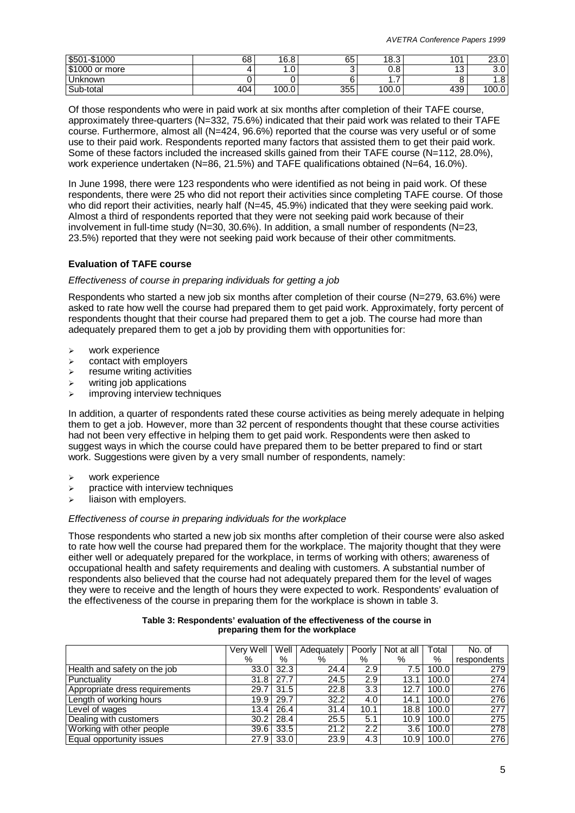| \$501-\$1000   | 68  | 16.8       | 65  | 18.3  | 101           | nn n<br>ں.ں∠         |
|----------------|-----|------------|-----|-------|---------------|----------------------|
| \$1000 or more |     | $.0 \cdot$ | ັ   | υ.ο   | $\sim$<br>ر ا | $\sim$ $\sim$<br>J.U |
| Unknown        |     |            |     | .     |               | 0<br>ن. ا            |
| Sub-total      | 404 | 100.0      | 355 | 100.0 | 439           | 100.0                |

Of those respondents who were in paid work at six months after completion of their TAFE course, approximately three-quarters (N=332, 75.6%) indicated that their paid work was related to their TAFE course. Furthermore, almost all (N=424, 96.6%) reported that the course was very useful or of some use to their paid work. Respondents reported many factors that assisted them to get their paid work. Some of these factors included the increased skills gained from their TAFE course (N=112, 28.0%), work experience undertaken (N=86, 21.5%) and TAFE qualifications obtained (N=64, 16.0%).

In June 1998, there were 123 respondents who were identified as not being in paid work. Of these respondents, there were 25 who did not report their activities since completing TAFE course. Of those who did report their activities, nearly half (N=45, 45.9%) indicated that they were seeking paid work. Almost a third of respondents reported that they were not seeking paid work because of their involvement in full-time study (N=30, 30.6%). In addition, a small number of respondents (N=23, 23.5%) reported that they were not seeking paid work because of their other commitments.

#### **Evaluation of TAFE course**

#### *Effectiveness of course in preparing individuals for getting a job*

Respondents who started a new job six months after completion of their course (N=279, 63.6%) were asked to rate how well the course had prepared them to get paid work. Approximately, forty percent of respondents thought that their course had prepared them to get a job. The course had more than adequately prepared them to get a job by providing them with opportunities for:

- $\triangleright$  work experience
- $\triangleright$  contact with employers
- $\triangleright$  resume writing activities
- $\triangleright$  writing job applications
- improving interview techniques

In addition, a quarter of respondents rated these course activities as being merely adequate in helping them to get a job. However, more than 32 percent of respondents thought that these course activities had not been very effective in helping them to get paid work. Respondents were then asked to suggest ways in which the course could have prepared them to be better prepared to find or start work. Suggestions were given by a very small number of respondents, namely:

- $\triangleright$  work experience
- $\triangleright$  practice with interview techniques
- $\triangleright$  liaison with employers.

#### *Effectiveness of course in preparing individuals for the workplace*

Those respondents who started a new job six months after completion of their course were also asked to rate how well the course had prepared them for the workplace. The majority thought that they were either well or adequately prepared for the workplace, in terms of working with others; awareness of occupational health and safety requirements and dealing with customers. A substantial number of respondents also believed that the course had not adequately prepared them for the level of wages they were to receive and the length of hours they were expected to work. Respondents' evaluation of the effectiveness of the course in preparing them for the workplace is shown in table 3.

|                                | Verv Well | Well | Adequately | Poorly | Not at all | Total | No. of      |
|--------------------------------|-----------|------|------------|--------|------------|-------|-------------|
|                                | %         | %    | %          | %      | %          | %     | respondents |
| Health and safety on the job   | 33.0      | 32.3 | 24.4       | 2.9    | 7.5        | 100.0 | 279         |
| Punctuality                    | 31.8      | 27.7 | 24.5       | 2.9    | 13.1       | 100.0 | 274         |
| Appropriate dress requirements | 29.7      | 31.5 | 22.8       | 3.3    | 12.7       | 100.0 | 276         |
| Length of working hours        | 19.91     | 29.7 | 32.2       | 4.0    | 14.1       | 100.0 | 276         |
| Level of wages                 | 13.4      | 26.4 | 31.4       | 10.1   | 18.8       | 100.0 | 277         |
| Dealing with customers         | 30.2      | 28.4 | 25.5       | 5.1    | 10.9       | 100.0 | 275         |
| Working with other people      | 39.6      | 33.5 | 21.2       | 2.2    | 3.6        | 100.0 | 278         |
| Equal opportunity issues       | 27.9      | 33.0 | 23.9       | 4.3    | 10.9       | 100.0 | 276         |

#### **Table 3: Respondents' evaluation of the effectiveness of the course in preparing them for the workplace**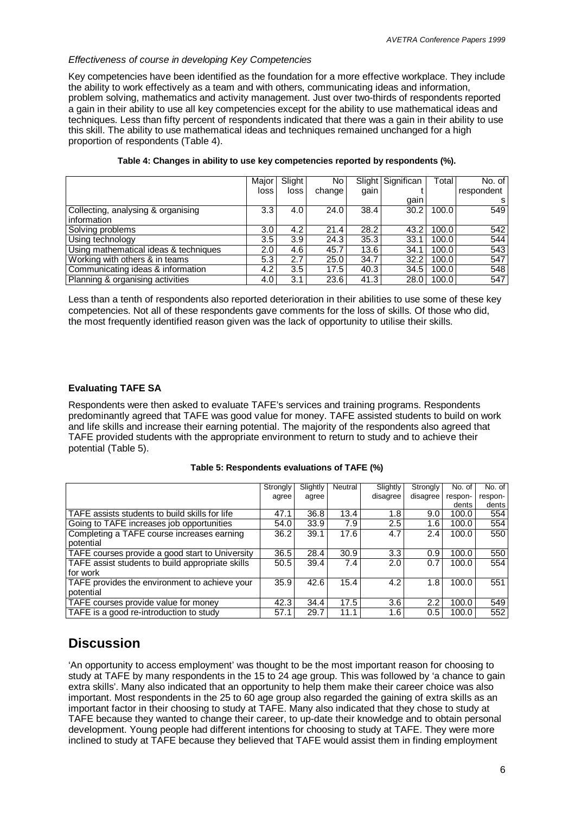#### *Effectiveness of course in developing Key Competencies*

Key competencies have been identified as the foundation for a more effective workplace. They include the ability to work effectively as a team and with others, communicating ideas and information, problem solving, mathematics and activity management. Just over two-thirds of respondents reported a gain in their ability to use all key competencies except for the ability to use mathematical ideas and techniques. Less than fifty percent of respondents indicated that there was a gain in their ability to use this skill. The ability to use mathematical ideas and techniques remained unchanged for a high proportion of respondents (Table 4).

|                                       | Major            | Slight <sup>1</sup> | No.    |      | Slight Significan | Total | No. of I   |
|---------------------------------------|------------------|---------------------|--------|------|-------------------|-------|------------|
|                                       | loss             | loss                | change | gain |                   |       | respondent |
|                                       |                  |                     |        |      | gain              |       | s          |
| Collecting, analysing & organising    | 3.3              | 4.0                 | 24.0   | 38.4 | 30.2              | 100.0 | 549        |
| information                           |                  |                     |        |      |                   |       |            |
| Solving problems                      | 3.0 <sub>2</sub> | 4.2                 | 21.4   | 28.2 | 43.2              | 100.0 | 542        |
| Using technology                      | 3.5              | 3.9                 | 24.3   | 35.3 | 33.1              | 100.0 | 544        |
| Using mathematical ideas & techniques | 2.0              | 4.6                 | 45.7   | 13.6 | 34.1              | 100.0 | 543        |
| Working with others & in teams        | 5.3              | 2.7                 | 25.0   | 34.7 | 32.2              | 100.0 | 547        |
| Communicating ideas & information     | 4.2              | 3.5                 | 17.5   | 40.3 | 34.5              | 100.0 | 548        |
| Planning & organising activities      | 4.0              | 3.1                 | 23.6   | 41.3 | 28.0              | 100.0 | 547        |

#### **Table 4: Changes in ability to use key competencies reported by respondents (%).**

Less than a tenth of respondents also reported deterioration in their abilities to use some of these key competencies. Not all of these respondents gave comments for the loss of skills. Of those who did, the most frequently identified reason given was the lack of opportunity to utilise their skills.

#### **Evaluating TAFE SA**

Respondents were then asked to evaluate TAFE's services and training programs. Respondents predominantly agreed that TAFE was good value for money. TAFE assisted students to build on work and life skills and increase their earning potential. The majority of the respondents also agreed that TAFE provided students with the appropriate environment to return to study and to achieve their potential (Table 5).

#### **Table 5: Respondents evaluations of TAFE (%)**

|                                                  | Strongly | Slightly | Neutral | Slightly         | Strongly | No. of  | No. of  |
|--------------------------------------------------|----------|----------|---------|------------------|----------|---------|---------|
|                                                  | agree    | agree    |         | disagree         | disagree | respon- | respon- |
|                                                  |          |          |         |                  |          | dents   | dents   |
| TAFE assists students to build skills for life   | 47.1     | 36.8     | 13.4    | 1.8              | 9.0      | 100.0   | 554     |
| Going to TAFE increases job opportunities        | 54.0     | 33.9     | 7.9     | 2.5              | 1.6      | 100.0   | 554     |
| Completing a TAFE course increases earning       | 36.2     | 39.1     | 17.6    | 4.7              | 2.4      | 100.0   | 550     |
| potential                                        |          |          |         |                  |          |         |         |
| TAFE courses provide a good start to University  | 36.5     | 28.4     | 30.9    | 3.3 <sub>2</sub> | 0.9      | 100.0   | 550     |
| TAFE assist students to build appropriate skills | 50.5     | 39.4     | 7.4     | 2.0              | 0.7      | 100.0   | 554     |
| for work                                         |          |          |         |                  |          |         |         |
| TAFE provides the environment to achieve your    | 35.9     | 42.6     | 15.4    | 4.2              | 1.8      | 100.0   | 551     |
| potential                                        |          |          |         |                  |          |         |         |
| TAFE courses provide value for money             | 42.3     | 34.4     | 17.5    | 3.6              | $2.2\,$  | 100.0   | 549     |
| TAFE is a good re-introduction to study          | 57.1     | 29.7     | 11.1    | 1.6              | 0.5      | 100.0   | 552     |

### **Discussion**

'An opportunity to access employment' was thought to be the most important reason for choosing to study at TAFE by many respondents in the 15 to 24 age group. This was followed by 'a chance to gain extra skills'. Many also indicated that an opportunity to help them make their career choice was also important. Most respondents in the 25 to 60 age group also regarded the gaining of extra skills as an important factor in their choosing to study at TAFE. Many also indicated that they chose to study at TAFE because they wanted to change their career, to up-date their knowledge and to obtain personal development. Young people had different intentions for choosing to study at TAFE. They were more inclined to study at TAFE because they believed that TAFE would assist them in finding employment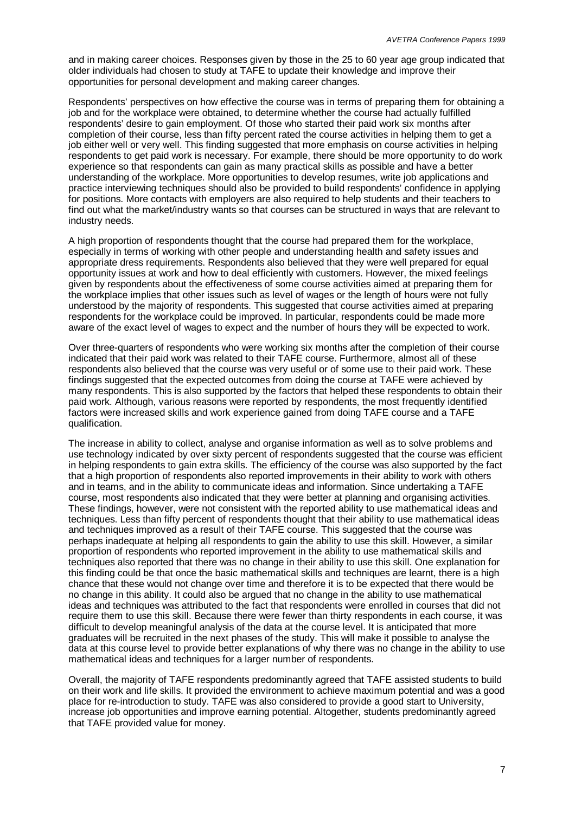and in making career choices. Responses given by those in the 25 to 60 year age group indicated that older individuals had chosen to study at TAFE to update their knowledge and improve their opportunities for personal development and making career changes.

Respondents' perspectives on how effective the course was in terms of preparing them for obtaining a job and for the workplace were obtained, to determine whether the course had actually fulfilled respondents' desire to gain employment. Of those who started their paid work six months after completion of their course, less than fifty percent rated the course activities in helping them to get a job either well or very well. This finding suggested that more emphasis on course activities in helping respondents to get paid work is necessary. For example, there should be more opportunity to do work experience so that respondents can gain as many practical skills as possible and have a better understanding of the workplace. More opportunities to develop resumes, write job applications and practice interviewing techniques should also be provided to build respondents' confidence in applying for positions. More contacts with employers are also required to help students and their teachers to find out what the market/industry wants so that courses can be structured in ways that are relevant to industry needs.

A high proportion of respondents thought that the course had prepared them for the workplace, especially in terms of working with other people and understanding health and safety issues and appropriate dress requirements. Respondents also believed that they were well prepared for equal opportunity issues at work and how to deal efficiently with customers. However, the mixed feelings given by respondents about the effectiveness of some course activities aimed at preparing them for the workplace implies that other issues such as level of wages or the length of hours were not fully understood by the majority of respondents. This suggested that course activities aimed at preparing respondents for the workplace could be improved. In particular, respondents could be made more aware of the exact level of wages to expect and the number of hours they will be expected to work.

Over three-quarters of respondents who were working six months after the completion of their course indicated that their paid work was related to their TAFE course. Furthermore, almost all of these respondents also believed that the course was very useful or of some use to their paid work. These findings suggested that the expected outcomes from doing the course at TAFE were achieved by many respondents. This is also supported by the factors that helped these respondents to obtain their paid work. Although, various reasons were reported by respondents, the most frequently identified factors were increased skills and work experience gained from doing TAFE course and a TAFE qualification.

The increase in ability to collect, analyse and organise information as well as to solve problems and use technology indicated by over sixty percent of respondents suggested that the course was efficient in helping respondents to gain extra skills. The efficiency of the course was also supported by the fact that a high proportion of respondents also reported improvements in their ability to work with others and in teams, and in the ability to communicate ideas and information. Since undertaking a TAFE course, most respondents also indicated that they were better at planning and organising activities. These findings, however, were not consistent with the reported ability to use mathematical ideas and techniques. Less than fifty percent of respondents thought that their ability to use mathematical ideas and techniques improved as a result of their TAFE course. This suggested that the course was perhaps inadequate at helping all respondents to gain the ability to use this skill. However, a similar proportion of respondents who reported improvement in the ability to use mathematical skills and techniques also reported that there was no change in their ability to use this skill. One explanation for this finding could be that once the basic mathematical skills and techniques are learnt, there is a high chance that these would not change over time and therefore it is to be expected that there would be no change in this ability. It could also be argued that no change in the ability to use mathematical ideas and techniques was attributed to the fact that respondents were enrolled in courses that did not require them to use this skill. Because there were fewer than thirty respondents in each course, it was difficult to develop meaningful analysis of the data at the course level. It is anticipated that more graduates will be recruited in the next phases of the study. This will make it possible to analyse the data at this course level to provide better explanations of why there was no change in the ability to use mathematical ideas and techniques for a larger number of respondents.

Overall, the majority of TAFE respondents predominantly agreed that TAFE assisted students to build on their work and life skills. It provided the environment to achieve maximum potential and was a good place for re-introduction to study. TAFE was also considered to provide a good start to University, increase job opportunities and improve earning potential. Altogether, students predominantly agreed that TAFE provided value for money.